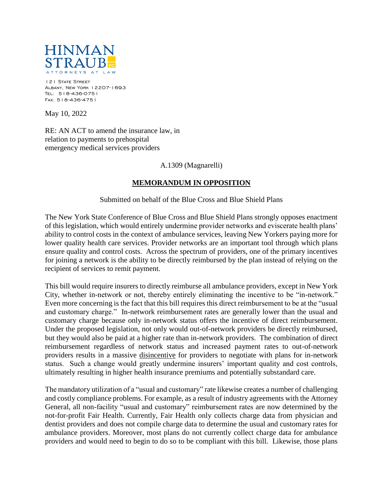

121 STATE STREET Albany, New York 12207-1693 Tel: 518-436-0751 Fax: 518-436-4751

May 10, 2022

RE: AN ACT to amend the insurance law, in relation to payments to prehospital emergency medical services providers

A.1309 (Magnarelli)

## **MEMORANDUM IN OPPOSITION**

Submitted on behalf of the Blue Cross and Blue Shield Plans

The New York State Conference of Blue Cross and Blue Shield Plans strongly opposes enactment of this legislation, which would entirely undermine provider networks and eviscerate health plans' ability to control costs in the context of ambulance services, leaving New Yorkers paying more for lower quality health care services. Provider networks are an important tool through which plans ensure quality and control costs. Across the spectrum of providers, one of the primary incentives for joining a network is the ability to be directly reimbursed by the plan instead of relying on the recipient of services to remit payment.

This bill would require insurers to directly reimburse all ambulance providers, except in New York City, whether in-network or not, thereby entirely eliminating the incentive to be "in-network." Even more concerning is the fact that this bill requires this direct reimbursement to be at the "usual and customary charge." In-network reimbursement rates are generally lower than the usual and customary charge because only in-network status offers the incentive of direct reimbursement. Under the proposed legislation, not only would out-of-network providers be directly reimbursed, but they would also be paid at a higher rate than in-network providers. The combination of direct reimbursement regardless of network status and increased payment rates to out-of-network providers results in a massive disincentive for providers to negotiate with plans for in-network status. Such a change would greatly undermine insurers' important quality and cost controls, ultimately resulting in higher health insurance premiums and potentially substandard care.

The mandatory utilization of a "usual and customary" rate likewise creates a number of challenging and costly compliance problems. For example, as a result of industry agreements with the Attorney General, all non-facility "usual and customary" reimbursement rates are now determined by the not-for-profit Fair Health. Currently, Fair Health only collects charge data from physician and dentist providers and does not compile charge data to determine the usual and customary rates for ambulance providers. Moreover, most plans do not currently collect charge data for ambulance providers and would need to begin to do so to be compliant with this bill. Likewise, those plans